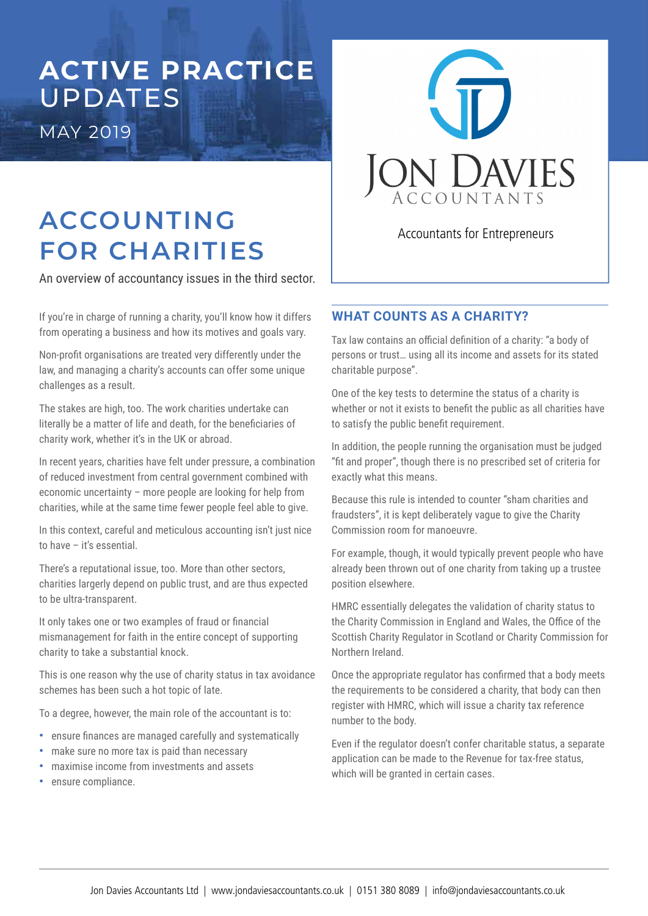# **ACTIVE PRACTICE**  UPDATES

MAY 2019

# **ACCOUNTING FOR CHARITIES**

An overview of accountancy issues in the third sector.

If you're in charge of running a charity, you'll know how it differs from operating a business and how its motives and goals vary.

Non-profit organisations are treated very differently under the law, and managing a charity's accounts can offer some unique challenges as a result.

The stakes are high, too. The work charities undertake can literally be a matter of life and death, for the beneficiaries of charity work, whether it's in the UK or abroad.

In recent years, charities have felt under pressure, a combination of reduced investment from central government combined with economic uncertainty – more people are looking for help from charities, while at the same time fewer people feel able to give.

In this context, careful and meticulous accounting isn't just nice to have – it's essential.

There's a reputational issue, too. More than other sectors, charities largerly depend on public trust, and are thus expected to be ultra-transparent.

It only takes one or two examples of fraud or financial mismanagement for faith in the entire concept of supporting charity to take a substantial knock.

This is one reason why the use of charity status in tax avoidance schemes has been such a hot topic of late.

To a degree, however, the main role of the accountant is to:

- ensure inances are managed carefully and systematically
- make sure no more tax is paid than necessary
- maximise income from investments and assets
- ensure compliance.



Accountants for Entrepreneurs

## **WHAT COUNTS AS A CHARITY?**

Tax law contains an official definition of a charity: "a body of persons or trust… using all its income and assets for its stated charitable purpose".

One of the key tests to determine the status of a charity is whether or not it exists to benefit the public as all charities have to satisfy the public benefit requirement.

In addition, the people running the organisation must be judged "fit and proper", though there is no prescribed set of criteria for exactly what this means.

Because this rule is intended to counter "sham charities and fraudsters", it is kept deliberately vague to give the Charity Commission room for manoeuvre.

For example, though, it would typically prevent people who have already been thrown out of one charity from taking up a trustee position elsewhere.

HMRC essentially delegates the validation of charity status to the Charity Commission in England and Wales, the Office of the Scottish Charity Regulator in Scotland or Charity Commission for Northern Ireland.

Once the appropriate regulator has confirmed that a body meets the requirements to be considered a charity, that body can then register with HMRC, which will issue a charity tax reference number to the body.

Even if the regulator doesn't confer charitable status, a separate application can be made to the Revenue for tax-free status, which will be granted in certain cases.